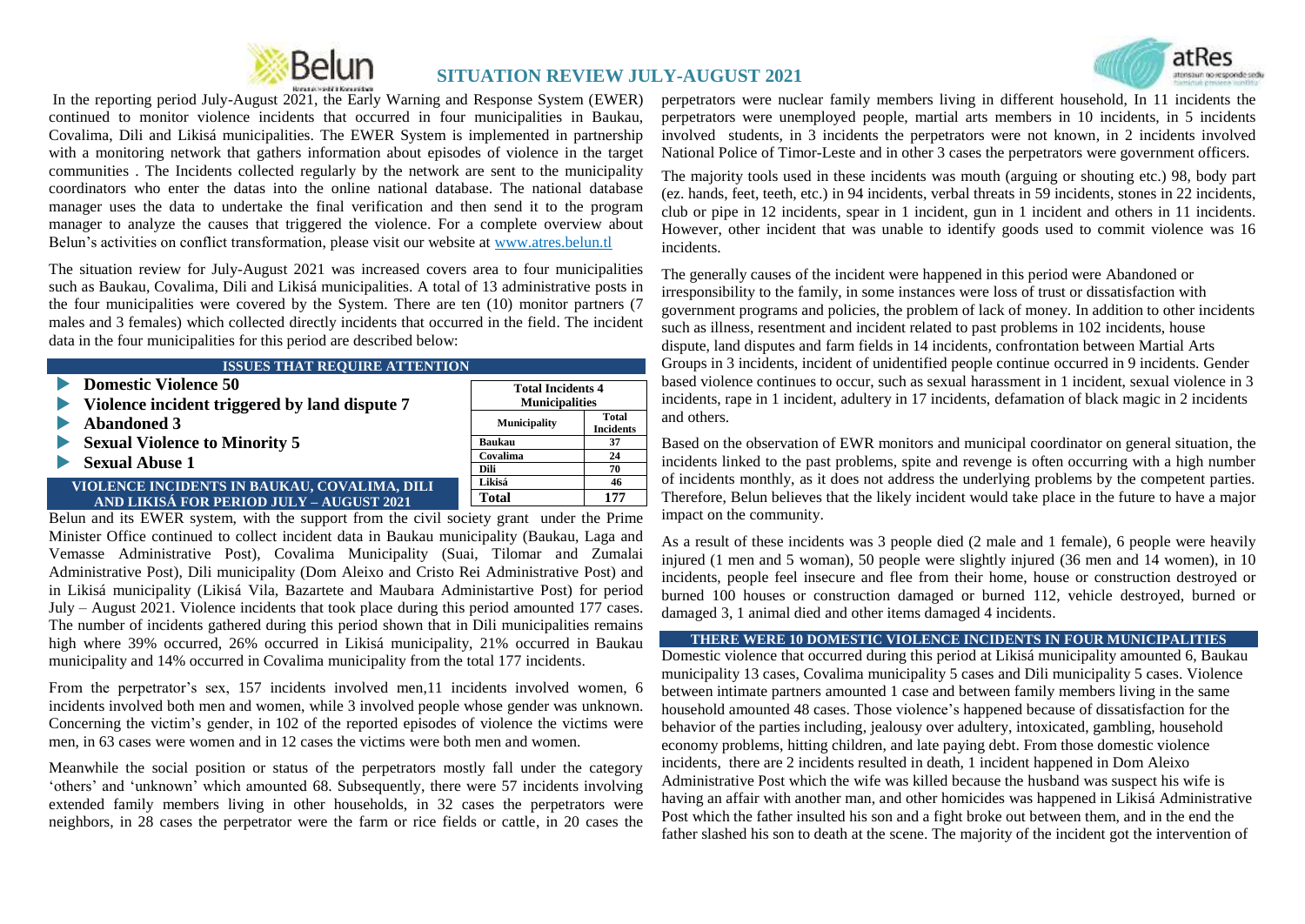

# **SITUATION REVIEW JULY-AUGUST 2021**



In the reporting period July-August 2021, the Early Warning and Response System (EWER) continued to monitor violence incidents that occurred in four municipalities in Baukau, Covalima, Dili and Likisá municipalities. The EWER System is implemented in partnership with a monitoring network that gathers information about episodes of violence in the target communities . The Incidents collected regularly by the network are sent to the municipality coordinators who enter the datas into the online national database. The national database manager uses the data to undertake the final verification and then send it to the program manager to analyze the causes that triggered the violence. For a complete overview about Belun"s activities on conflict transformation, please visit our website at [www.atres.belun.tl](http://www.atres.belun.tl/)

The situation review for July-August 2021 was increased covers area to four municipalities such as Baukau, Covalima, Dili and Likisá municipalities. A total of 13 administrative posts in the four municipalities were covered by the System. There are ten (10) monitor partners (7 males and 3 females) which collected directly incidents that occurred in the field. The incident data in the four municipalities for this period are described below:

| <b>ISSUES THAT REQUIRE ATTENTION</b>              |                           |  |
|---------------------------------------------------|---------------------------|--|
| <b>Total Incidents 4</b><br><b>Municipalities</b> |                           |  |
| <b>Municipality</b>                               | Total<br><b>Incidents</b> |  |
| <b>Baukau</b>                                     | 37                        |  |
| Covalima                                          | 24                        |  |
| Dili                                              | 70                        |  |
| Likisá                                            | 46                        |  |
| Total                                             | 177                       |  |
|                                                   |                           |  |

Belun and its EWER system, with the support from the civil society grant under the Prime Minister Office continued to collect incident data in Baukau municipality (Baukau, Laga and Vemasse Administrative Post), Covalima Municipality (Suai, Tilomar and Zumalai Administrative Post), Dili municipality (Dom Aleixo and Cristo Rei Administrative Post) and in Likisá municipality (Likisá Vila, Bazartete and Maubara Administartive Post) for period July – August 2021. Violence incidents that took place during this period amounted 177 cases. The number of incidents gathered during this period shown that in Dili municipalities remains high where 39% occurred, 26% occurred in Likisá municipality, 21% occurred in Baukau municipality and 14% occurred in Covalima municipality from the total 177 incidents.

From the perpetrator's sex, 157 incidents involved men, 11 incidents involved women, 6 incidents involved both men and women, while 3 involved people whose gender was unknown. Concerning the victim"s gender, in 102 of the reported episodes of violence the victims were men, in 63 cases were women and in 12 cases the victims were both men and women.

Meanwhile the social position or status of the perpetrators mostly fall under the category "others" and "unknown" which amounted 68. Subsequently, there were 57 incidents involving extended family members living in other households, in 32 cases the perpetrators were neighbors, in 28 cases the perpetrator were the farm or rice fields or cattle, in 20 cases the

perpetrators were nuclear family members living in different household, In 11 incidents the perpetrators were unemployed people, martial arts members in 10 incidents, in 5 incidents involved students, in 3 incidents the perpetrators were not known, in 2 incidents involved National Police of Timor-Leste and in other 3 cases the perpetrators were government officers.

The majority tools used in these incidents was mouth (arguing or shouting etc.) 98, body part (ez. hands, feet, teeth, etc.) in 94 incidents, verbal threats in 59 incidents, stones in 22 incidents, club or pipe in 12 incidents, spear in 1 incident, gun in 1 incident and others in 11 incidents. However, other incident that was unable to identify goods used to commit violence was 16 incidents.

The generally causes of the incident were happened in this period were Abandoned or irresponsibility to the family, in some instances were loss of trust or dissatisfaction with government programs and policies, the problem of lack of money. In addition to other incidents such as illness, resentment and incident related to past problems in 102 incidents, house dispute, land disputes and farm fields in 14 incidents, confrontation between Martial Arts Groups in 3 incidents, incident of unidentified people continue occurred in 9 incidents. Gender based violence continues to occur, such as sexual harassment in 1 incident, sexual violence in 3 incidents, rape in 1 incident, adultery in 17 incidents, defamation of black magic in 2 incidents and others.

Based on the observation of EWR monitors and municipal coordinator on general situation, the incidents linked to the past problems, spite and revenge is often occurring with a high number of incidents monthly, as it does not address the underlying problems by the competent parties. Therefore, Belun believes that the likely incident would take place in the future to have a major impact on the community.

As a result of these incidents was 3 people died (2 male and 1 female), 6 people were heavily injured (1 men and 5 woman), 50 people were slightly injured (36 men and 14 women), in 10 incidents, people feel insecure and flee from their home, house or construction destroyed or burned 100 houses or construction damaged or burned 112, vehicle destroyed, burned or damaged 3, 1 animal died and other items damaged 4 incidents.

#### **THERE WERE 10 DOMESTIC VIOLENCE INCIDENTS IN FOUR MUNICIPALITIES**

Domestic violence that occurred during this period at Likisá municipality amounted 6, Baukau municipality 13 cases, Covalima municipality 5 cases and Dili municipality 5 cases. Violence between intimate partners amounted 1 case and between family members living in the same household amounted 48 cases. Those violence"s happened because of dissatisfaction for the behavior of the parties including, jealousy over adultery, intoxicated, gambling, household economy problems, hitting children, and late paying debt. From those domestic violence incidents, there are 2 incidents resulted in death, 1 incident happened in Dom Aleixo Administrative Post which the wife was killed because the husband was suspect his wife is having an affair with another man, and other homicides was happened in Likisá Administrative Post which the father insulted his son and a fight broke out between them, and in the end the father slashed his son to death at the scene. The majority of the incident got the intervention of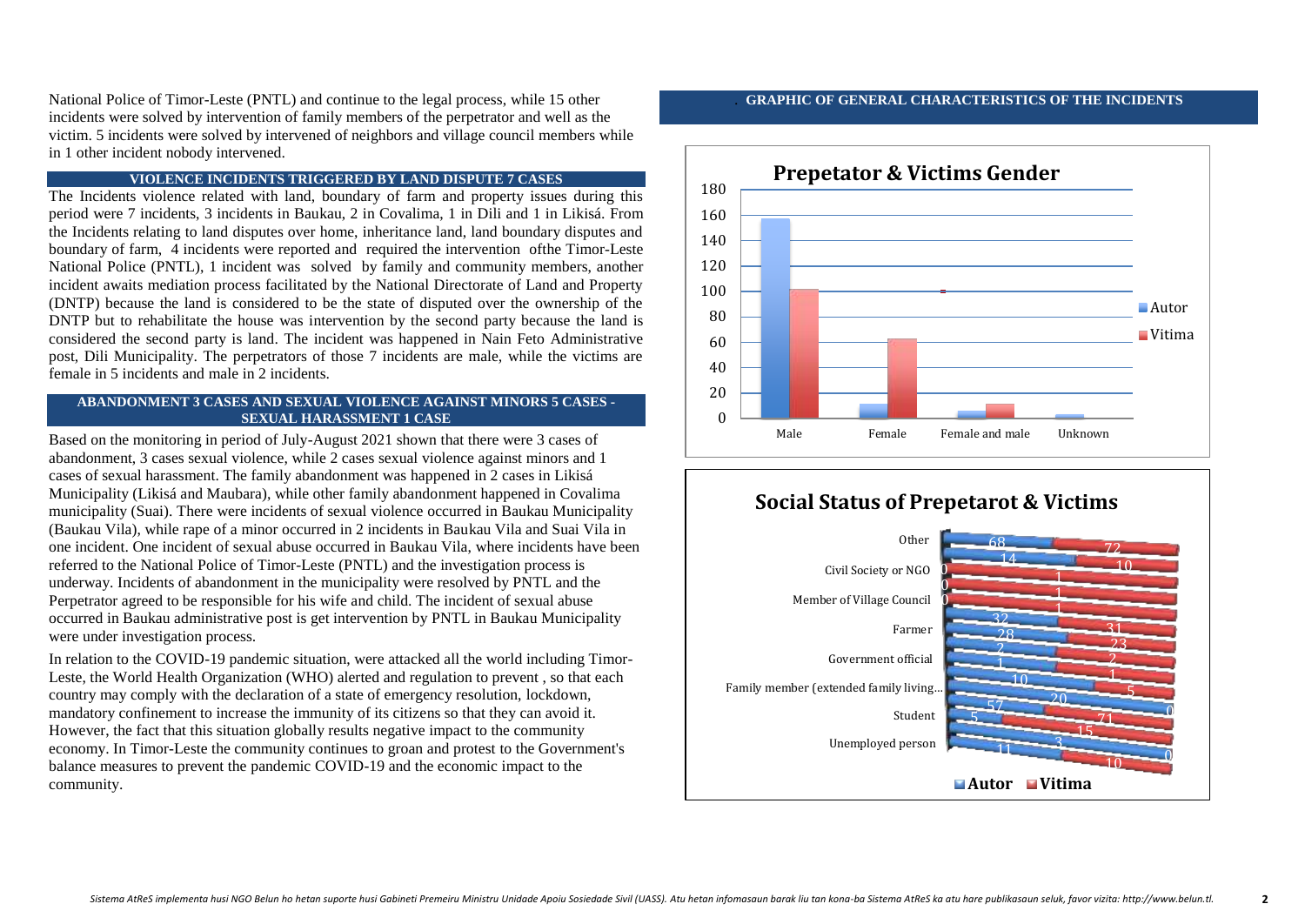National Police of Timor-Leste (PNTL) and continue to the legal process, while 15 other incidents were solved by intervention of family members of the perpetrator and well as the victim. 5 incidents were solved by intervened of neighbors and village council members while in 1 other incident nobody intervened.

#### **VIOLENCE INCIDENTS TRIGGERED BY LAND DISPUTE 7 CASES**

The Incidents violence related with land, boundary of farm and property issues during this period were 7 incidents, 3 incidents in Baukau, 2 in Covalima, 1 in Dili and 1 in Likisá. From the Incidents relating to land disputes over home, inheritance land, land boundary disputes and boundary of farm, 4 incidents were reported and required the intervention ofthe Timor-Leste National Police (PNTL), 1 incident was solved by family and community members, another incident awaits mediation process facilitated by the National Directorate of Land and Property (DNTP) because the land is considered to be the state of disputed over the ownership of the DNTP but to rehabilitate the house was intervention by the second party because the land is considered the second party is land. The incident was happened in Nain Feto Administrative post, Dili Municipality. The perpetrators of those 7 incidents are male, while the victims are female in 5 incidents and male in 2 incidents.

#### **ABANDONMENT 3 CASES AND SEXUAL VIOLENCE AGAINST MINORS 5 CASES - SEXUAL HARASSMENT 1 CASE**

Based on the monitoring in period of July-August 2021 shown that there were 3 cases of abandonment, 3 cases sexual violence, while 2 cases sexual violence against minors and 1 cases of sexual harassment. The family abandonment was happened in 2 cases in Likisá Municipality (Likisá and Maubara), while other family abandonment happened in Covalima municipality (Suai). There were incidents of sexual violence occurred in Baukau Municipality (Baukau Vila), while rape of a minor occurred in 2 incidents in Baukau Vila and Suai Vila in one incident. One incident of sexual abuse occurred in Baukau Vila, where incidents have been referred to the National Police of Timor-Leste (PNTL) and the investigation process is underway. Incidents of abandonment in the municipality were resolved by PNTL and the Perpetrator agreed to be responsible for his wife and child. The incident of sexual abuse occurred in Baukau administrative post is get intervention by PNTL in Baukau Municipality were under investigation process.

In relation to the COVID-19 pandemic situation, were attacked all the world including Timor-Leste, the World Health Organization (WHO) alerted and regulation to prevent , so that each country may comply with the declaration of a state of emergency resolution, lockdown, mandatory confinement to increase the immunity of its citizens so that they can avoid it. However, the fact that this situation globally results negative impact to the community economy. In Timor-Leste the community continues to groan and protest to the Government's balance measures to prevent the pandemic COVID-19 and the economic impact to the community.

#### . **GRAPHIC OF GENERAL CHARACTERISTICS OF THE INCIDENTS**



# **Social Status of Prepetarot & Victims**

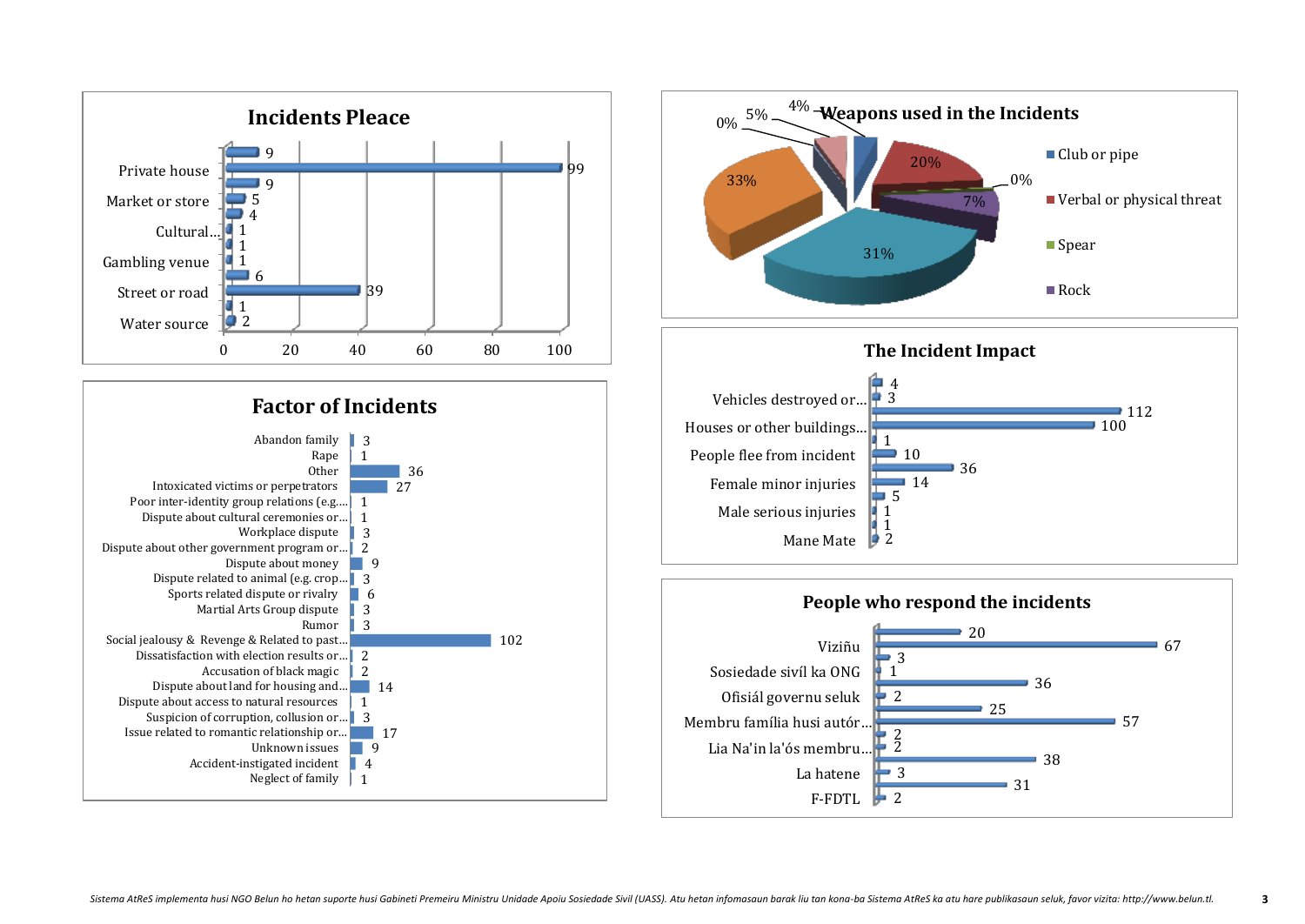



F-FDTL  $\blacktriangleright$ 

2

 $\overline{\phantom{0}}$  3

31

La hatene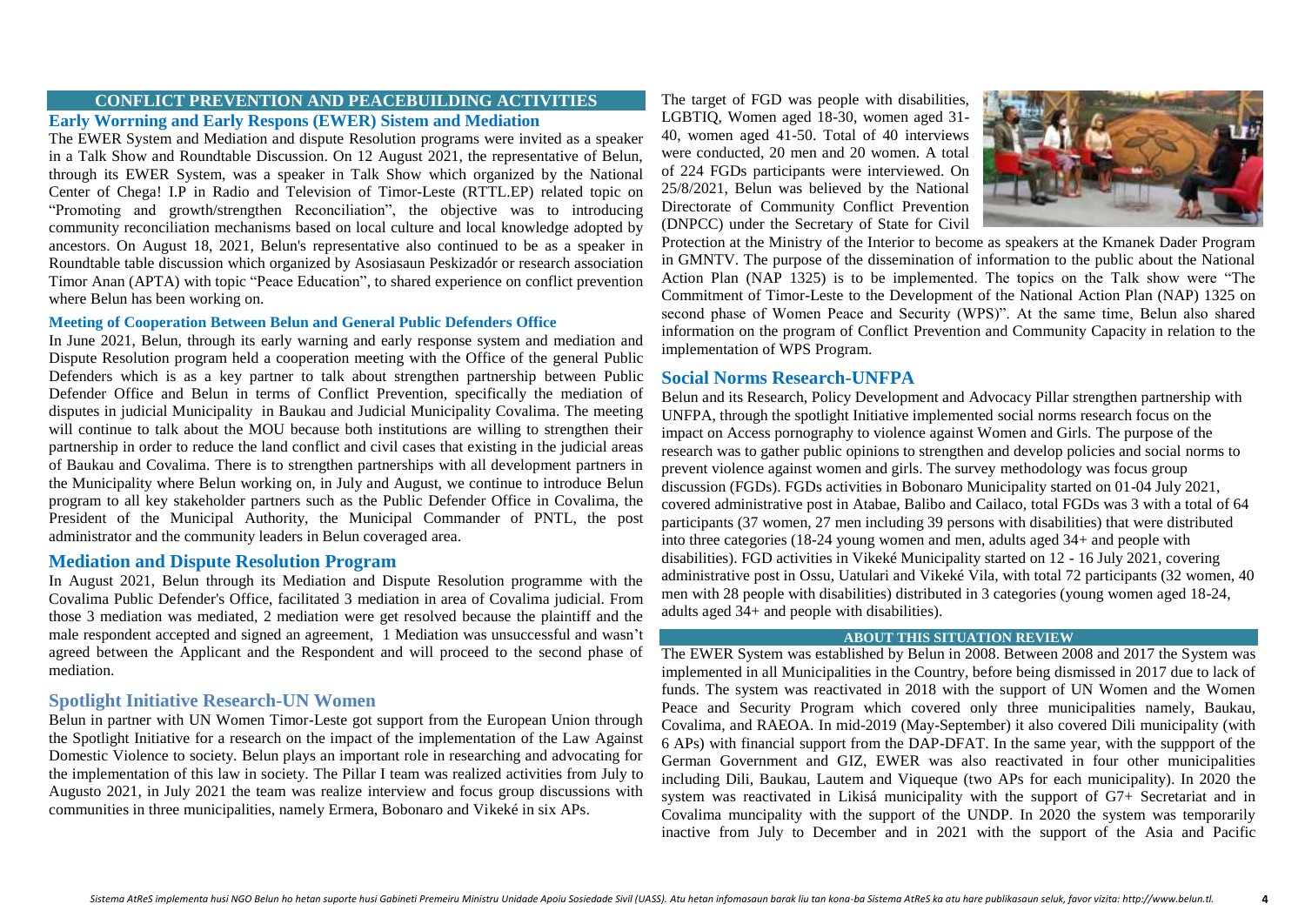# **CONFLICT PREVENTION AND PEACEBUILDING ACTIVITIES**

# **Early Worrning and Early Respons (EWER) Sistem and Mediation**

The EWER System and Mediation and dispute Resolution programs were invited as a speaker in a Talk Show and Roundtable Discussion. On 12 August 2021, the representative of Belun, through its EWER System, was a speaker in Talk Show which organized by the National Center of Chega! I.P in Radio and Television of Timor-Leste (RTTL.EP) related topic on "Promoting and growth/strengthen Reconciliation", the objective was to introducing community reconciliation mechanisms based on local culture and local knowledge adopted by ancestors. On August 18, 2021, Belun's representative also continued to be as a speaker in Roundtable table discussion which organized by Asosiasaun Peskizadór or research association Timor Anan (APTA) with topic "Peace Education", to shared experience on conflict prevention where Belun has been working on.

### **Meeting of Cooperation Between Belun and General Public Defenders Office**

In June 2021, Belun, through its early warning and early response system and mediation and Dispute Resolution program held a cooperation meeting with the Office of the general Public Defenders which is as a key partner to talk about strengthen partnership between Public Defender Office and Belun in terms of Conflict Prevention, specifically the mediation of disputes in judicial Municipality in Baukau and Judicial Municipality Covalima. The meeting will continue to talk about the MOU because both institutions are willing to strengthen their partnership in order to reduce the land conflict and civil cases that existing in the judicial areas of Baukau and Covalima. There is to strengthen partnerships with all development partners in the Municipality where Belun working on, in July and August, we continue to introduce Belun program to all key stakeholder partners such as the Public Defender Office in Covalima, the President of the Municipal Authority, the Municipal Commander of PNTL, the post administrator and the community leaders in Belun coveraged area.

# **Mediation and Dispute Resolution Program**

In August 2021, Belun through its Mediation and Dispute Resolution programme with the Covalima Public Defender's Office, facilitated 3 mediation in area of Covalima judicial. From those 3 mediation was mediated, 2 mediation were get resolved because the plaintiff and the male respondent accepted and signed an agreement, 1 Mediation was unsuccessful and wasn"t agreed between the Applicant and the Respondent and will proceed to the second phase of mediation.

# **Spotlight Initiative Research-UN Women**

Belun in partner with UN Women Timor-Leste got support from the European Union through the Spotlight Initiative for a research on the impact of the implementation of the Law Against Domestic Violence to society. Belun plays an important role in researching and advocating for the implementation of this law in society. The Pillar I team was realized activities from July to Augusto 2021, in July 2021 the team was realize interview and focus group discussions with communities in three municipalities, namely Ermera, Bobonaro and Vikeké in six APs.

The target of FGD was people with disabilities, LGBTIQ, Women aged 18-30, women aged 31- 40, women aged 41-50. Total of 40 interviews were conducted, 20 men and 20 women. A total of 224 FGDs participants were interviewed. On 25/8/2021, Belun was believed by the National Directorate of Community Conflict Prevention (DNPCC) under the Secretary of State for Civil



Protection at the Ministry of the Interior to become as speakers at the Kmanek Dader Program in GMNTV. The purpose of the dissemination of information to the public about the National Action Plan (NAP 1325) is to be implemented. The topics on the Talk show were "The Commitment of Timor-Leste to the Development of the National Action Plan (NAP) 1325 on second phase of Women Peace and Security (WPS)". At the same time, Belun also shared information on the program of Conflict Prevention and Community Capacity in relation to the implementation of WPS Program.

## **Social Norms Research-UNFPA**

Belun and its Research, Policy Development and Advocacy Pillar strengthen partnership with UNFPA, through the spotlight Initiative implemented social norms research focus on the impact on Access pornography to violence against Women and Girls. The purpose of the research was to gather public opinions to strengthen and develop policies and social norms to prevent violence against women and girls. The survey methodology was focus group discussion (FGDs). FGDs activities in Bobonaro Municipality started on 01-04 July 2021, covered administrative post in Atabae, Balibo and Cailaco, total FGDs was 3 with a total of 64 participants (37 women, 27 men including 39 persons with disabilities) that were distributed into three categories (18-24 young women and men, adults aged 34+ and people with disabilities). FGD activities in Vikeké Municipality started on 12 - 16 July 2021, covering administrative post in Ossu, Uatulari and Vikeké Vila, with total 72 participants (32 women, 40 men with 28 people with disabilities) distributed in 3 categories (young women aged 18-24, adults aged 34+ and people with disabilities).

#### **ABOUT THIS SITUATION REVIEW**

The EWER System was established by Belun in 2008. Between 2008 and 2017 the System was implemented in all Municipalities in the Country, before being dismissed in 2017 due to lack of funds. The system was reactivated in 2018 with the support of UN Women and the Women Peace and Security Program which covered only three municipalities namely, Baukau, Covalima, and RAEOA. In mid-2019 (May-September) it also covered Dili municipality (with 6 APs) with financial support from the DAP-DFAT. In the same year, with the suppport of the German Government and GIZ, EWER was also reactivated in four other municipalities including Dili, Baukau, Lautem and Viqueque (two APs for each municipality). In 2020 the system was reactivated in Likisá municipality with the support of G7+ Secretariat and in Covalima muncipality with the support of the UNDP. In 2020 the system was temporarily inactive from July to December and in 2021 with the support of the Asia and Pacific